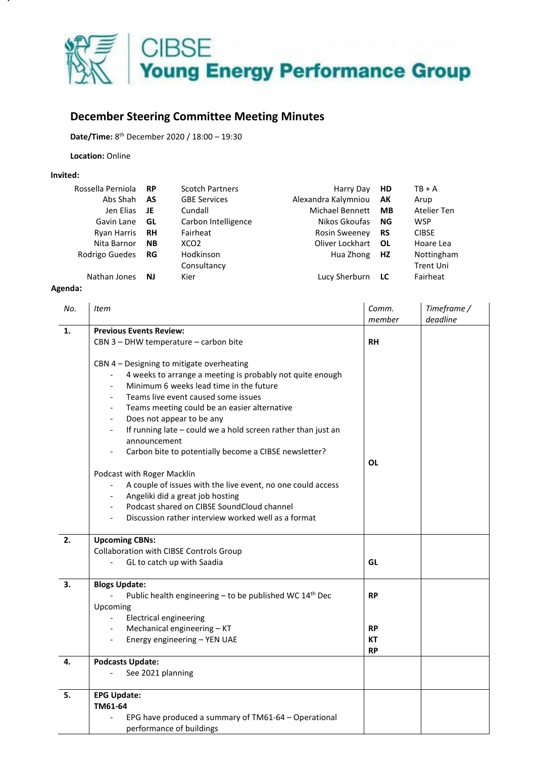

## **December Steering Committee Meeting Minutes**

**Date/Time:** 8 th December 2020 / 18:00 – 19:30

**Location:** Online

## **Invited:**

| Rossella Perniola  | <b>RP</b> | <b>Scotch Partners</b> | Harry Day            | <b>HD</b> | $TB + A$         |
|--------------------|-----------|------------------------|----------------------|-----------|------------------|
| Abs Shah           | AS        | <b>GBE Services</b>    | Alexandra Kalymniou  | AK        | Arup             |
| Jen Elias          | JE        | Cundall                | Michael Bennett      | МB        | Atelier Ten      |
| Gavin Lane         | GL        | Carbon Intelligence    | Nikos Gkoufas        | ΝG        | <b>WSP</b>       |
| <b>Ryan Harris</b> | <b>RH</b> | Fairheat               | <b>Rosin Sweeney</b> | <b>RS</b> | <b>CIBSE</b>     |
| Nita Barnor        | <b>NB</b> | XCO <sub>2</sub>       | Oliver Lockhart      | OL        | Hoare Lea        |
| Rodrigo Guedes     | RG        | Hodkinson              | Hua Zhong            | <b>HZ</b> | Nottingham       |
|                    |           | Consultancy            |                      |           | <b>Trent Uni</b> |
| Nathan Jones       | <b>NJ</b> | Kier                   | Lucy Sherburn        | LC        | Fairheat         |

## **Agenda:**

| No. | <b>Item</b>                                                                                                                                                                                                                                                                                                                                                                                                                                                                                                                                                                                                                                                                                                                                                          | Comm.<br>member | Timeframe /<br>deadline |  |  |
|-----|----------------------------------------------------------------------------------------------------------------------------------------------------------------------------------------------------------------------------------------------------------------------------------------------------------------------------------------------------------------------------------------------------------------------------------------------------------------------------------------------------------------------------------------------------------------------------------------------------------------------------------------------------------------------------------------------------------------------------------------------------------------------|-----------------|-------------------------|--|--|
| 1.  | <b>Previous Events Review:</b>                                                                                                                                                                                                                                                                                                                                                                                                                                                                                                                                                                                                                                                                                                                                       |                 |                         |  |  |
|     | CBN 3 - DHW temperature - carbon bite                                                                                                                                                                                                                                                                                                                                                                                                                                                                                                                                                                                                                                                                                                                                | <b>RH</b>       |                         |  |  |
|     | CBN 4 - Designing to mitigate overheating<br>4 weeks to arrange a meeting is probably not quite enough<br>Minimum 6 weeks lead time in the future<br>Teams live event caused some issues<br>Teams meeting could be an easier alternative<br>$\overline{\phantom{a}}$<br>Does not appear to be any<br>$\overline{\phantom{a}}$<br>If running late - could we a hold screen rather than just an<br>announcement<br>Carbon bite to potentially become a CIBSE newsletter?<br>Podcast with Roger Macklin<br>A couple of issues with the live event, no one could access<br>Angeliki did a great job hosting<br>$\overline{\phantom{a}}$<br>Podcast shared on CIBSE SoundCloud channel<br>$\overline{\phantom{a}}$<br>Discussion rather interview worked well as a format | <b>OL</b>       |                         |  |  |
| 2.  | <b>Upcoming CBNs:</b>                                                                                                                                                                                                                                                                                                                                                                                                                                                                                                                                                                                                                                                                                                                                                |                 |                         |  |  |
|     | Collaboration with CIBSE Controls Group<br>GL to catch up with Saadia                                                                                                                                                                                                                                                                                                                                                                                                                                                                                                                                                                                                                                                                                                | GL              |                         |  |  |
| 3.  | <b>Blogs Update:</b>                                                                                                                                                                                                                                                                                                                                                                                                                                                                                                                                                                                                                                                                                                                                                 |                 |                         |  |  |
|     | Public health engineering - to be published WC 14 <sup>th</sup> Dec                                                                                                                                                                                                                                                                                                                                                                                                                                                                                                                                                                                                                                                                                                  | <b>RP</b>       |                         |  |  |
|     | Upcoming                                                                                                                                                                                                                                                                                                                                                                                                                                                                                                                                                                                                                                                                                                                                                             |                 |                         |  |  |
|     | <b>Electrical engineering</b>                                                                                                                                                                                                                                                                                                                                                                                                                                                                                                                                                                                                                                                                                                                                        |                 |                         |  |  |
|     | Mechanical engineering - KT<br>$\blacksquare$                                                                                                                                                                                                                                                                                                                                                                                                                                                                                                                                                                                                                                                                                                                        | <b>RP</b>       |                         |  |  |
|     | Energy engineering - YEN UAE<br>$\overline{\phantom{a}}$                                                                                                                                                                                                                                                                                                                                                                                                                                                                                                                                                                                                                                                                                                             | <b>KT</b>       |                         |  |  |
|     |                                                                                                                                                                                                                                                                                                                                                                                                                                                                                                                                                                                                                                                                                                                                                                      | <b>RP</b>       |                         |  |  |
| 4.  | <b>Podcasts Update:</b>                                                                                                                                                                                                                                                                                                                                                                                                                                                                                                                                                                                                                                                                                                                                              |                 |                         |  |  |
|     | See 2021 planning                                                                                                                                                                                                                                                                                                                                                                                                                                                                                                                                                                                                                                                                                                                                                    |                 |                         |  |  |
| 5.  | <b>EPG Update:</b>                                                                                                                                                                                                                                                                                                                                                                                                                                                                                                                                                                                                                                                                                                                                                   |                 |                         |  |  |
|     | TM61-64                                                                                                                                                                                                                                                                                                                                                                                                                                                                                                                                                                                                                                                                                                                                                              |                 |                         |  |  |
|     | EPG have produced a summary of TM61-64 - Operational<br>performance of buildings                                                                                                                                                                                                                                                                                                                                                                                                                                                                                                                                                                                                                                                                                     |                 |                         |  |  |